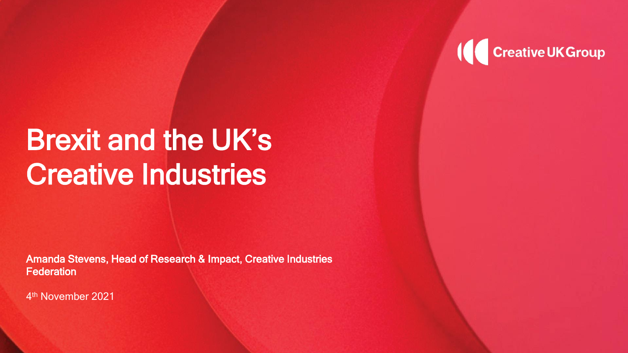

#### Brexit and the UK's Creative Industries

Amanda Stevens, Head of Research & Impact, Creative Industries **Federation** 

4 th November 2021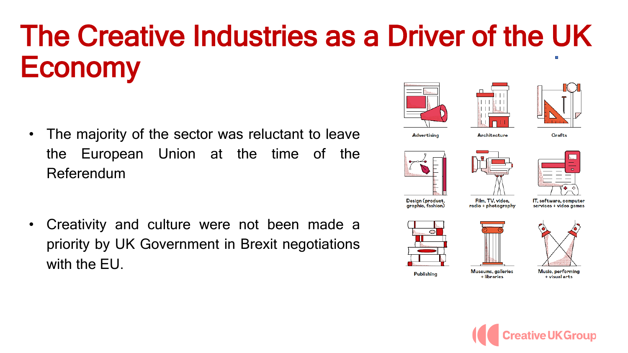# The Creative Industries as a Driver of the UK Economy

- The majority of the sector was reluctant to leave the European Union at the time of the Referendum
- Creativity and culture were not been made a priority by UK Government in Brexit negotiations with the EU.





Advertisina





Architecture



**Crafts** 

Design (product, graphic, fashion)

Film, TV, video, radio + photography

Museums, galleries

+ libraries

IT, software, computer services + video games







Music, performing + visual arts

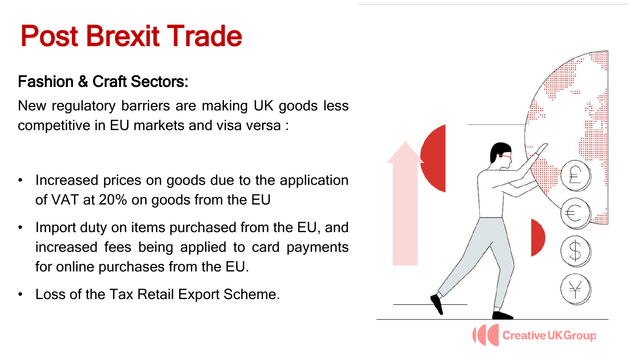# Post Brexit Trade

#### Fashion & Craft Sectors:

New regulatory barriers are making UK goods less competitive in EU markets and visa versa :

- Increased prices on goods due to the application of VAT at 20% on goods from the EU
- Import duty on items purchased from the EU, and increased fees being applied to card payments for online purchases from the EU.
- Loss of the Tax Retail Export Scheme.

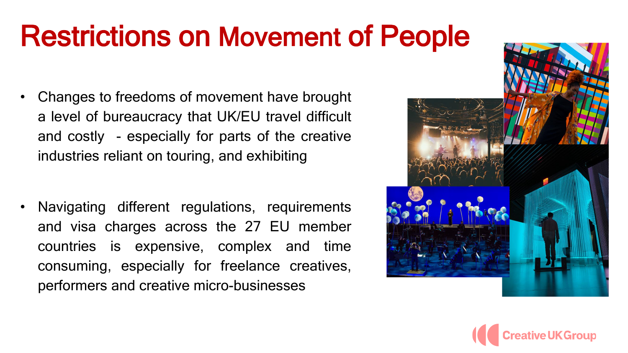## Restrictions on Movement of People

- Changes to freedoms of movement have brought a level of bureaucracy that UK/EU travel difficult and costly - especially for parts of the creative industries reliant on touring, and exhibiting
- Navigating different regulations, requirements and visa charges across the 27 EU member countries is expensive, complex and time consuming, especially for freelance creatives, performers and creative micro-businesses



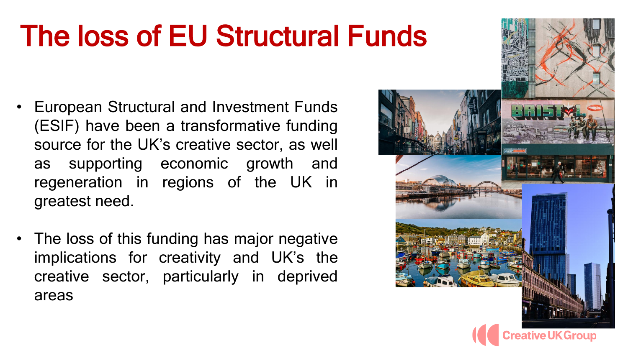# The loss of EU Structural Funds

- European Structural and Investment Funds (ESIF) have been a transformative funding source for the UK's creative sector, as well as supporting economic growth and regeneration in regions of the UK in greatest need.
- The loss of this funding has major negative implications for creativity and UK's the creative sector, particularly in deprived areas